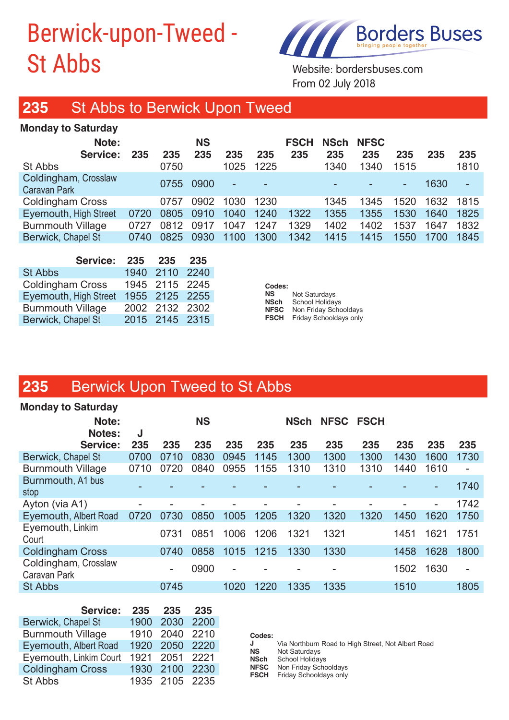# Berwick-upon-Tweed - St Abbs Website: bordersbuses.com



**Service: 235 235 235 235 235 235 235 235 235 235 235**

**Note: NS NSch NFSC FSCH**

From 02 July 2018 **Note: NSC HSCHIP <b>NSCHIP CONSCRIPTION** 

#### **235** St Abbs to Berwick Upon Tweed St Abbs 0750 1025 1225 1340 1340 1515 1810 **Note: NS FSCH NSch NFSC**

#### **Monday to Saturday Service: 235 235 235 235 235 235 235 235 235 235 235**

**FSCH** Friday Schooldays only

| <b>Monday to Saturday</b>            |      |      |                  |      |      |                    |             |                    |        |      |      |
|--------------------------------------|------|------|------------------|------|------|--------------------|-------------|--------------------|--------|------|------|
| Note:<br>Service:                    | 235  | 235  | <b>NS</b><br>235 | 235  | 235  | <b>FSCH</b><br>235 | NSch<br>235 | <b>NFSC</b><br>235 | 235    | 235  | 235  |
| St Abbs                              |      | 0750 |                  | 1025 | 1225 |                    | 1340        | 1340               | 1515   |      | 1810 |
| Coldingham, Crosslaw<br>Caravan Park |      | 0755 | 0900             |      |      |                    |             | -                  | $\sim$ | 1630 |      |
| <b>Coldingham Cross</b>              |      | 0757 | 0902             | 1030 | 1230 |                    | 1345        | 345                | 1520   | 1632 | 1815 |
| Eyemouth, High Street                | 0720 | 0805 | 0910             | 1040 | 1240 | 1322               | 1355        | 1355               | 1530   | 1640 | 1825 |
| <b>Burnmouth Village</b>             | 0727 | 0812 | 0917             | 1047 | 1247 | 1329               | 1402        | 1402               | 1537   | 1647 | 1832 |
| Berwick, Chapel St                   | 0740 | 0825 | 0930             | 1100 | 1300 | 1342               | 1415        | 1415               | 1550   | 1700 | 1845 |
|                                      |      |      |                  |      |      |                    |             |                    |        |      |      |

| - 235 | 235 | -235                                                                                   |
|-------|-----|----------------------------------------------------------------------------------------|
|       |     |                                                                                        |
|       |     |                                                                                        |
|       |     |                                                                                        |
|       |     |                                                                                        |
|       |     |                                                                                        |
|       |     | 1940 2110 2240<br>1945 2115 2245<br>1955 2125 2255<br>2002 2132 2302<br>2015 2145 2315 |

**Codes: NS** Not Saturdays<br> **NSch** School Holiday **School Holidays NFSC** Non Friday Schooldays **FSCH** Friday Schooldays only

Coldingham, Crosslaw

# **235** Berwick Upon Tweed to St Abbs

| <b>Monday to Saturday</b>            |      |                          |           |      |      |             |           |      |      |        |                          |
|--------------------------------------|------|--------------------------|-----------|------|------|-------------|-----------|------|------|--------|--------------------------|
| Note:<br>Notes:                      | J    |                          | <b>NS</b> |      |      | <b>NSch</b> | NFSC FSCH |      |      |        |                          |
| <b>Service:</b>                      | 235  | 235                      | 235       | 235  | 235  | 235         | 235       | 235  | 235  | 235    | 235                      |
| Berwick, Chapel St                   | 0700 | 0710                     | 0830      | 0945 | 1145 | 1300        | 1300      | 1300 | 1430 | 1600   | 1730                     |
| <b>Burnmouth Village</b>             | 0710 | 0720                     | 0840      | 0955 | 1155 | 1310        | 1310      | 1310 | 1440 | 1610   | $\overline{\phantom{a}}$ |
| Burnmouth, A1 bus<br>stop            |      |                          |           |      |      |             |           |      |      |        | 1740                     |
| Ayton (via A1)                       |      |                          |           |      |      |             |           |      |      | $\sim$ | 1742                     |
| Eyemouth, Albert Road                | 0720 | 0730                     | 0850      | 1005 | 1205 | 1320        | 1320      | 1320 | 1450 | 1620   | 1750                     |
| Eyemouth, Linkim<br>Court            |      | 0731                     | 0851      | 1006 | 1206 | 1321        | 1321      |      | 1451 | 1621   | 1751                     |
| <b>Coldingham Cross</b>              |      | 0740                     | 0858      | 1015 | 1215 | 1330        | 1330      |      | 1458 | 1628   | 1800                     |
| Coldingham, Crosslaw<br>Caravan Park |      | $\overline{\phantom{a}}$ | 0900      |      |      |             |           |      | 1502 | 1630   | $\overline{\phantom{a}}$ |
| <b>St Abbs</b>                       |      | 0745                     |           | 1020 | 1220 | 1335        | 1335      |      | 1510 |        | 1805                     |
|                                      |      |                          |           |      |      |             |           |      |      |        |                          |

| Service: 235                          | 235            | 235 |
|---------------------------------------|----------------|-----|
| Berwick, Chapel St                    | 1900 2030 2200 |     |
| <b>Burnmouth Village</b>              | 1910 2040 2210 |     |
| Eyemouth, Albert Road 1920 2050 2220  |                |     |
| Eyemouth, Linkim Court 1921 2051 2221 |                |     |
| Coldingham Cross                      | 1930 2100 2230 |     |
| St Abbs                               | 1935 2105 2235 |     |